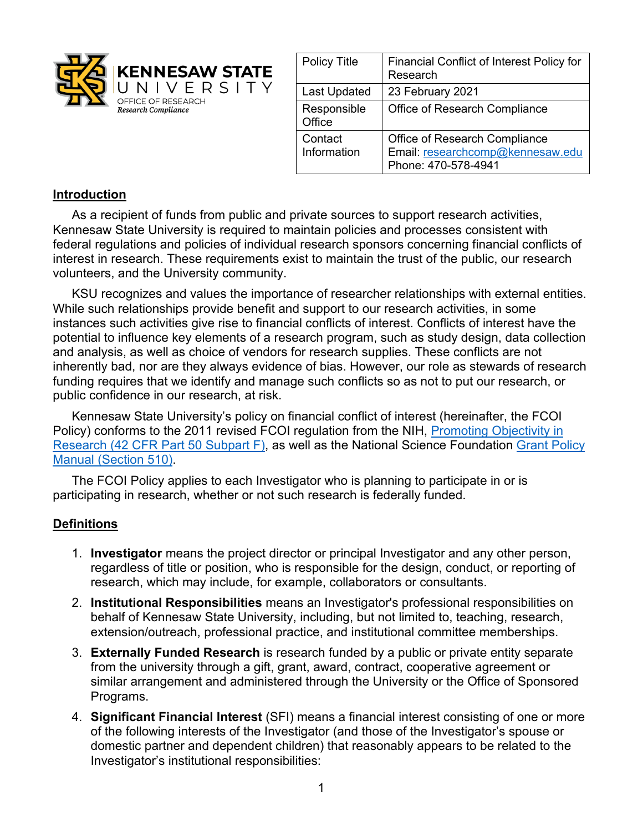

| <b>Policy Title</b>    | <b>Financial Conflict of Interest Policy for</b><br>Research                             |
|------------------------|------------------------------------------------------------------------------------------|
| Last Updated           | 23 February 2021                                                                         |
| Responsible<br>Office  | Office of Research Compliance                                                            |
| Contact<br>Information | Office of Research Compliance<br>Email: researchcomp@kennesaw.edu<br>Phone: 470-578-4941 |

## **Introduction**

As a recipient of funds from public and private sources to support research activities, Kennesaw State University is required to maintain policies and processes consistent with federal regulations and policies of individual research sponsors concerning financial conflicts of interest in research. These requirements exist to maintain the trust of the public, our research volunteers, and the University community.

KSU recognizes and values the importance of researcher relationships with external entities. While such relationships provide benefit and support to our research activities, in some instances such activities give rise to financial conflicts of interest. Conflicts of interest have the potential to influence key elements of a research program, such as study design, data collection and analysis, as well as choice of vendors for research supplies. These conflicts are not inherently bad, nor are they always evidence of bias. However, our role as stewards of research funding requires that we identify and manage such conflicts so as not to put our research, or public confidence in our research, at risk.

Kennesaw State University's policy on financial conflict of interest (hereinafter, the FCOI Policy) conforms to the 2011 revised FCOI regulation from the NIH, Promoting Objectivity in Research (42 CFR Part 50 Subpart F), as well as the National Science Foundation Grant Policy Manual (Section 510).

The FCOI Policy applies to each Investigator who is planning to participate in or is participating in research, whether or not such research is federally funded.

### **Definitions**

- 1. **Investigator** means the project director or principal Investigator and any other person, regardless of title or position, who is responsible for the design, conduct, or reporting of research, which may include, for example, collaborators or consultants.
- 2. **Institutional Responsibilities** means an Investigator's professional responsibilities on behalf of Kennesaw State University, including, but not limited to, teaching, research, extension/outreach, professional practice, and institutional committee memberships.
- 3. **Externally Funded Research** is research funded by a public or private entity separate from the university through a gift, grant, award, contract, cooperative agreement or similar arrangement and administered through the University or the Office of Sponsored Programs.
- 4. **Significant Financial Interest** (SFI) means a financial interest consisting of one or more of the following interests of the Investigator (and those of the Investigator's spouse or domestic partner and dependent children) that reasonably appears to be related to the Investigator's institutional responsibilities: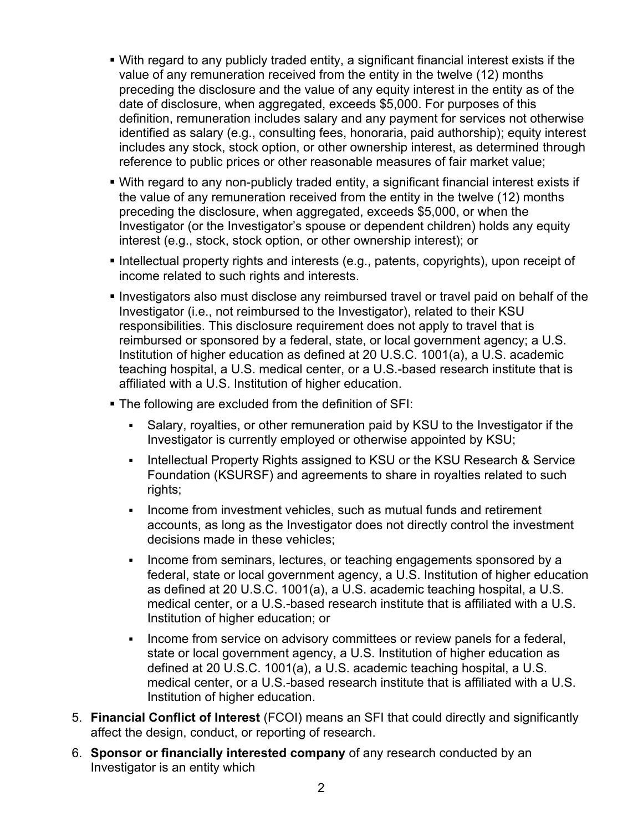- With regard to any publicly traded entity, a significant financial interest exists if the value of any remuneration received from the entity in the twelve (12) months preceding the disclosure and the value of any equity interest in the entity as of the date of disclosure, when aggregated, exceeds \$5,000. For purposes of this definition, remuneration includes salary and any payment for services not otherwise identified as salary (e.g., consulting fees, honoraria, paid authorship); equity interest includes any stock, stock option, or other ownership interest, as determined through reference to public prices or other reasonable measures of fair market value;
- With regard to any non-publicly traded entity, a significant financial interest exists if the value of any remuneration received from the entity in the twelve (12) months preceding the disclosure, when aggregated, exceeds \$5,000, or when the Investigator (or the Investigator's spouse or dependent children) holds any equity interest (e.g., stock, stock option, or other ownership interest); or
- § Intellectual property rights and interests (e.g., patents, copyrights), upon receipt of income related to such rights and interests.
- § Investigators also must disclose any reimbursed travel or travel paid on behalf of the Investigator (i.e., not reimbursed to the Investigator), related to their KSU responsibilities. This disclosure requirement does not apply to travel that is reimbursed or sponsored by a federal, state, or local government agency; a U.S. Institution of higher education as defined at 20 U.S.C. 1001(a), a U.S. academic teaching hospital, a U.S. medical center, or a U.S.-based research institute that is affiliated with a U.S. Institution of higher education.
- The following are excluded from the definition of SFI:
	- § Salary, royalties, or other remuneration paid by KSU to the Investigator if the Investigator is currently employed or otherwise appointed by KSU;
	- Intellectual Property Rights assigned to KSU or the KSU Research & Service Foundation (KSURSF) and agreements to share in royalties related to such rights;
	- Income from investment vehicles, such as mutual funds and retirement accounts, as long as the Investigator does not directly control the investment decisions made in these vehicles;
	- Income from seminars, lectures, or teaching engagements sponsored by a federal, state or local government agency, a U.S. Institution of higher education as defined at 20 U.S.C. 1001(a), a U.S. academic teaching hospital, a U.S. medical center, or a U.S.-based research institute that is affiliated with a U.S. Institution of higher education; or
	- Income from service on advisory committees or review panels for a federal, state or local government agency, a U.S. Institution of higher education as defined at 20 U.S.C. 1001(a), a U.S. academic teaching hospital, a U.S. medical center, or a U.S.-based research institute that is affiliated with a U.S. Institution of higher education.
- 5. **Financial Conflict of Interest** (FCOI) means an SFI that could directly and significantly affect the design, conduct, or reporting of research.
- 6. **Sponsor or financially interested company** of any research conducted by an Investigator is an entity which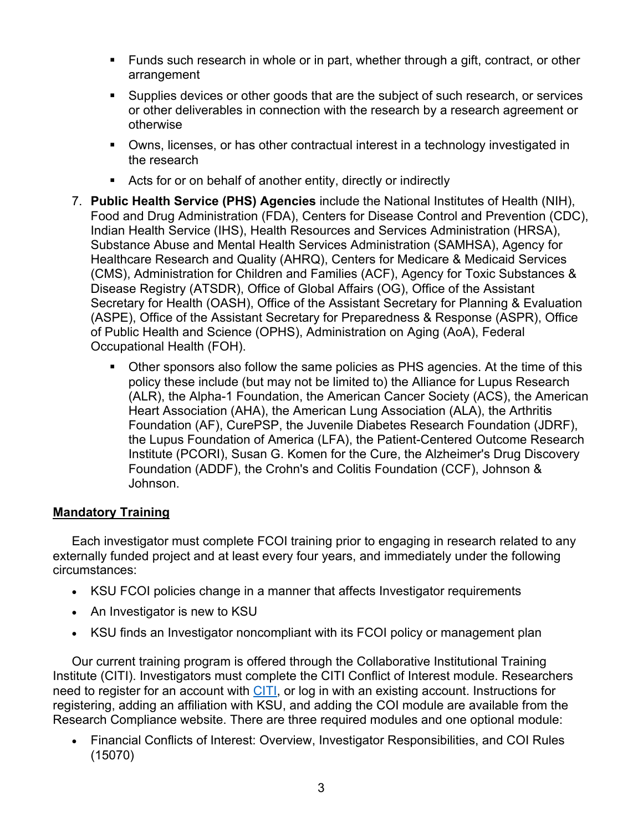- § Funds such research in whole or in part, whether through a gift, contract, or other arrangement
- Supplies devices or other goods that are the subject of such research, or services or other deliverables in connection with the research by a research agreement or otherwise
- § Owns, licenses, or has other contractual interest in a technology investigated in the research
- Acts for or on behalf of another entity, directly or indirectly
- 7. **Public Health Service (PHS) Agencies** include the National Institutes of Health (NIH), Food and Drug Administration (FDA), Centers for Disease Control and Prevention (CDC), Indian Health Service (IHS), Health Resources and Services Administration (HRSA), Substance Abuse and Mental Health Services Administration (SAMHSA), Agency for Healthcare Research and Quality (AHRQ), Centers for Medicare & Medicaid Services (CMS), Administration for Children and Families (ACF), Agency for Toxic Substances & Disease Registry (ATSDR), Office of Global Affairs (OG), Office of the Assistant Secretary for Health (OASH), Office of the Assistant Secretary for Planning & Evaluation (ASPE), Office of the Assistant Secretary for Preparedness & Response (ASPR), Office of Public Health and Science (OPHS), Administration on Aging (AoA), Federal Occupational Health (FOH).
	- § Other sponsors also follow the same policies as PHS agencies. At the time of this policy these include (but may not be limited to) the Alliance for Lupus Research (ALR), the Alpha-1 Foundation, the American Cancer Society (ACS), the American Heart Association (AHA), the American Lung Association (ALA), the Arthritis Foundation (AF), CurePSP, the Juvenile Diabetes Research Foundation (JDRF), the Lupus Foundation of America (LFA), the Patient-Centered Outcome Research Institute (PCORI), Susan G. Komen for the Cure, the Alzheimer's Drug Discovery Foundation (ADDF), the Crohn's and Colitis Foundation (CCF), Johnson & Johnson.

## **Mandatory Training**

Each investigator must complete FCOI training prior to engaging in research related to any externally funded project and at least every four years, and immediately under the following circumstances:

- KSU FCOI policies change in a manner that affects Investigator requirements
- An Investigator is new to KSU
- KSU finds an Investigator noncompliant with its FCOI policy or management plan

Our current training program is offered through the Collaborative Institutional Training Institute (CITI). Investigators must complete the CITI Conflict of Interest module. Researchers need to register for an account with CITI, or log in with an existing account. Instructions for registering, adding an affiliation with KSU, and adding the COI module are available from the Research Compliance website. There are three required modules and one optional module:

• Financial Conflicts of Interest: Overview, Investigator Responsibilities, and COI Rules (15070)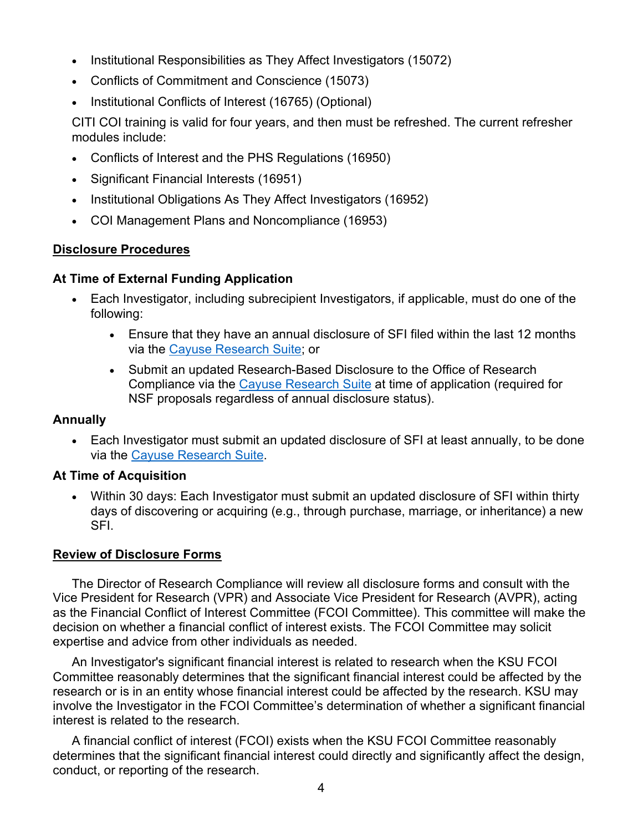- Institutional Responsibilities as They Affect Investigators (15072)
- Conflicts of Commitment and Conscience (15073)
- Institutional Conflicts of Interest (16765) (Optional)

CITI COI training is valid for four years, and then must be refreshed. The current refresher modules include:

- Conflicts of Interest and the PHS Regulations (16950)
- Significant Financial Interests (16951)
- Institutional Obligations As They Affect Investigators (16952)
- COI Management Plans and Noncompliance (16953)

### **Disclosure Procedures**

#### **At Time of External Funding Application**

- Each Investigator, including subrecipient Investigators, if applicable, must do one of the following:
	- Ensure that they have an annual disclosure of SFI filed within the last 12 months via the Cayuse Research Suite; or
	- Submit an updated Research-Based Disclosure to the Office of Research Compliance via the Cayuse Research Suite at time of application (required for NSF proposals regardless of annual disclosure status).

#### **Annually**

• Each Investigator must submit an updated disclosure of SFI at least annually, to be done via the Cayuse Research Suite.

### **At Time of Acquisition**

• Within 30 days: Each Investigator must submit an updated disclosure of SFI within thirty days of discovering or acquiring (e.g., through purchase, marriage, or inheritance) a new SFI.

### **Review of Disclosure Forms**

The Director of Research Compliance will review all disclosure forms and consult with the Vice President for Research (VPR) and Associate Vice President for Research (AVPR), acting as the Financial Conflict of Interest Committee (FCOI Committee). This committee will make the decision on whether a financial conflict of interest exists. The FCOI Committee may solicit expertise and advice from other individuals as needed.

An Investigator's significant financial interest is related to research when the KSU FCOI Committee reasonably determines that the significant financial interest could be affected by the research or is in an entity whose financial interest could be affected by the research. KSU may involve the Investigator in the FCOI Committee's determination of whether a significant financial interest is related to the research.

A financial conflict of interest (FCOI) exists when the KSU FCOI Committee reasonably determines that the significant financial interest could directly and significantly affect the design, conduct, or reporting of the research.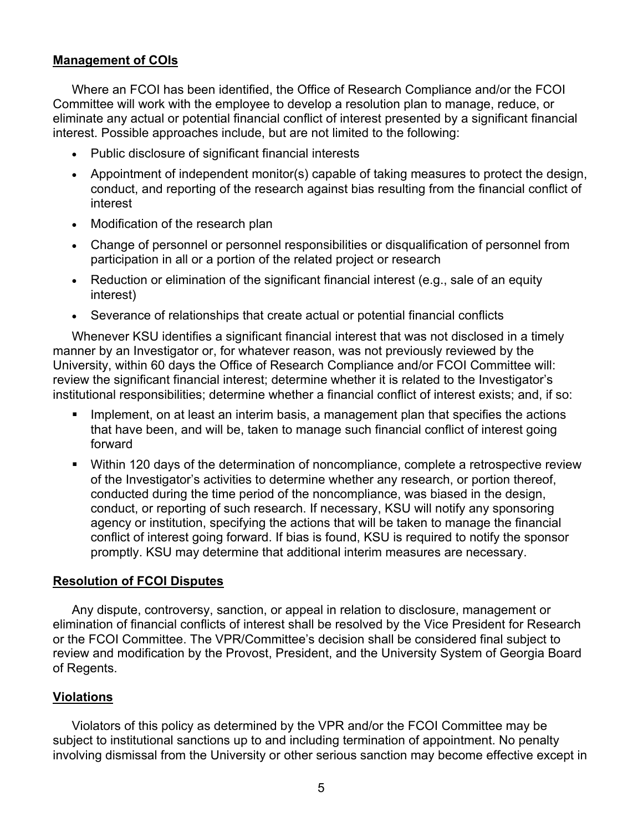## **Management of COIs**

Where an FCOI has been identified, the Office of Research Compliance and/or the FCOI Committee will work with the employee to develop a resolution plan to manage, reduce, or eliminate any actual or potential financial conflict of interest presented by a significant financial interest. Possible approaches include, but are not limited to the following:

- Public disclosure of significant financial interests
- Appointment of independent monitor(s) capable of taking measures to protect the design, conduct, and reporting of the research against bias resulting from the financial conflict of interest
- Modification of the research plan
- Change of personnel or personnel responsibilities or disqualification of personnel from participation in all or a portion of the related project or research
- Reduction or elimination of the significant financial interest (e.g., sale of an equity interest)
- Severance of relationships that create actual or potential financial conflicts

Whenever KSU identifies a significant financial interest that was not disclosed in a timely manner by an Investigator or, for whatever reason, was not previously reviewed by the University, within 60 days the Office of Research Compliance and/or FCOI Committee will: review the significant financial interest; determine whether it is related to the Investigator's institutional responsibilities; determine whether a financial conflict of interest exists; and, if so:

- Implement, on at least an interim basis, a management plan that specifies the actions that have been, and will be, taken to manage such financial conflict of interest going forward
- Within 120 days of the determination of noncompliance, complete a retrospective review of the Investigator's activities to determine whether any research, or portion thereof, conducted during the time period of the noncompliance, was biased in the design, conduct, or reporting of such research. If necessary, KSU will notify any sponsoring agency or institution, specifying the actions that will be taken to manage the financial conflict of interest going forward. If bias is found, KSU is required to notify the sponsor promptly. KSU may determine that additional interim measures are necessary.

#### **Resolution of FCOI Disputes**

Any dispute, controversy, sanction, or appeal in relation to disclosure, management or elimination of financial conflicts of interest shall be resolved by the Vice President for Research or the FCOI Committee. The VPR/Committee's decision shall be considered final subject to review and modification by the Provost, President, and the University System of Georgia Board of Regents.

### **Violations**

Violators of this policy as determined by the VPR and/or the FCOI Committee may be subject to institutional sanctions up to and including termination of appointment. No penalty involving dismissal from the University or other serious sanction may become effective except in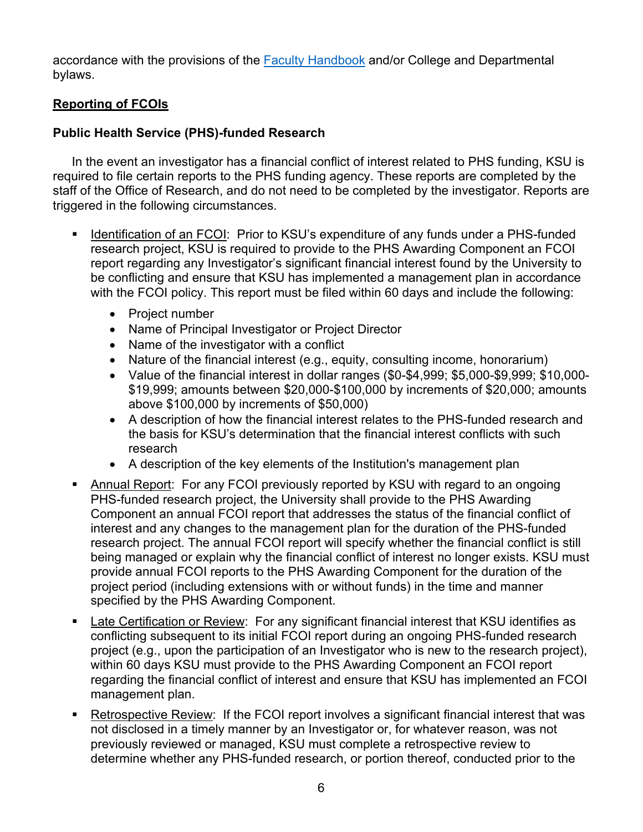accordance with the provisions of the Faculty Handbook and/or College and Departmental bylaws.

# **Reporting of FCOIs**

# **Public Health Service (PHS)-funded Research**

In the event an investigator has a financial conflict of interest related to PHS funding, KSU is required to file certain reports to the PHS funding agency. These reports are completed by the staff of the Office of Research, and do not need to be completed by the investigator. Reports are triggered in the following circumstances.

- Identification of an FCOI: Prior to KSU's expenditure of any funds under a PHS-funded research project, KSU is required to provide to the PHS Awarding Component an FCOI report regarding any Investigator's significant financial interest found by the University to be conflicting and ensure that KSU has implemented a management plan in accordance with the FCOI policy. This report must be filed within 60 days and include the following:
	- Project number
	- Name of Principal Investigator or Project Director
	- Name of the investigator with a conflict
	- Nature of the financial interest (e.g., equity, consulting income, honorarium)
	- Value of the financial interest in dollar ranges (\$0-\$4,999; \$5,000-\$9,999; \$10,000- \$19,999; amounts between \$20,000-\$100,000 by increments of \$20,000; amounts above \$100,000 by increments of \$50,000)
	- A description of how the financial interest relates to the PHS-funded research and the basis for KSU's determination that the financial interest conflicts with such research
	- A description of the key elements of the Institution's management plan
- Annual Report: For any FCOI previously reported by KSU with regard to an ongoing PHS-funded research project, the University shall provide to the PHS Awarding Component an annual FCOI report that addresses the status of the financial conflict of interest and any changes to the management plan for the duration of the PHS-funded research project. The annual FCOI report will specify whether the financial conflict is still being managed or explain why the financial conflict of interest no longer exists. KSU must provide annual FCOI reports to the PHS Awarding Component for the duration of the project period (including extensions with or without funds) in the time and manner specified by the PHS Awarding Component.
- **Late Certification or Review:** For any significant financial interest that KSU identifies as conflicting subsequent to its initial FCOI report during an ongoing PHS-funded research project (e.g., upon the participation of an Investigator who is new to the research project), within 60 days KSU must provide to the PHS Awarding Component an FCOI report regarding the financial conflict of interest and ensure that KSU has implemented an FCOI management plan.
- Retrospective Review: If the FCOI report involves a significant financial interest that was not disclosed in a timely manner by an Investigator or, for whatever reason, was not previously reviewed or managed, KSU must complete a retrospective review to determine whether any PHS-funded research, or portion thereof, conducted prior to the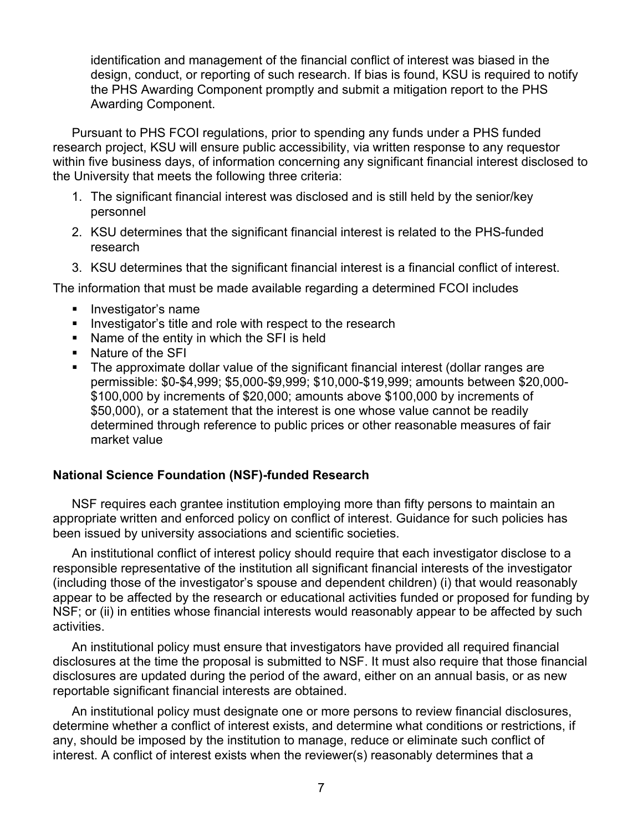identification and management of the financial conflict of interest was biased in the design, conduct, or reporting of such research. If bias is found, KSU is required to notify the PHS Awarding Component promptly and submit a mitigation report to the PHS Awarding Component.

Pursuant to PHS FCOI regulations, prior to spending any funds under a PHS funded research project, KSU will ensure public accessibility, via written response to any requestor within five business days, of information concerning any significant financial interest disclosed to the University that meets the following three criteria:

- 1. The significant financial interest was disclosed and is still held by the senior/key personnel
- 2. KSU determines that the significant financial interest is related to the PHS-funded research
- 3. KSU determines that the significant financial interest is a financial conflict of interest.

The information that must be made available regarding a determined FCOI includes

- Investigator's name
- **EXECT** Investigator's title and role with respect to the research
- § Name of the entity in which the SFI is held
- § Nature of the SFI
- The approximate dollar value of the significant financial interest (dollar ranges are permissible: \$0-\$4,999; \$5,000-\$9,999; \$10,000-\$19,999; amounts between \$20,000- \$100,000 by increments of \$20,000; amounts above \$100,000 by increments of \$50,000), or a statement that the interest is one whose value cannot be readily determined through reference to public prices or other reasonable measures of fair market value

## **National Science Foundation (NSF)-funded Research**

NSF requires each grantee institution employing more than fifty persons to maintain an appropriate written and enforced policy on conflict of interest. Guidance for such policies has been issued by university associations and scientific societies.

An institutional conflict of interest policy should require that each investigator disclose to a responsible representative of the institution all significant financial interests of the investigator (including those of the investigator's spouse and dependent children) (i) that would reasonably appear to be affected by the research or educational activities funded or proposed for funding by NSF; or (ii) in entities whose financial interests would reasonably appear to be affected by such activities.

An institutional policy must ensure that investigators have provided all required financial disclosures at the time the proposal is submitted to NSF. It must also require that those financial disclosures are updated during the period of the award, either on an annual basis, or as new reportable significant financial interests are obtained.

An institutional policy must designate one or more persons to review financial disclosures, determine whether a conflict of interest exists, and determine what conditions or restrictions, if any, should be imposed by the institution to manage, reduce or eliminate such conflict of interest. A conflict of interest exists when the reviewer(s) reasonably determines that a